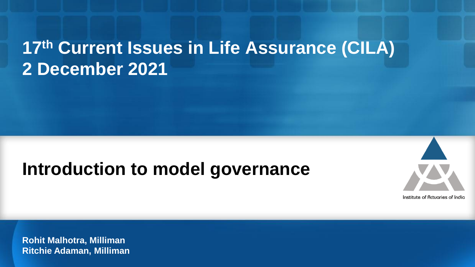## **17th Current Issues in Life Assurance (CILA) 2 December 2021**

### **Introduction to model governance**



**Rohit Malhotra, Milliman Ritchie Adaman, Milliman**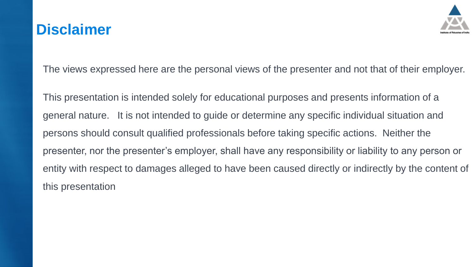#### **Disclaimer**



The views expressed here are the personal views of the presenter and not that of their employer.

This presentation is intended solely for educational purposes and presents information of a general nature. It is not intended to guide or determine any specific individual situation and persons should consult qualified professionals before taking specific actions. Neither the presenter, nor the presenter's employer, shall have any responsibility or liability to any person or entity with respect to damages alleged to have been caused directly or indirectly by the content of this presentation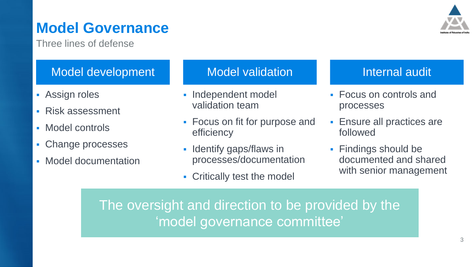### **Model Governance**

Three lines of defense

#### Model development

- **Assign roles**
- **Risk assessment**
- Model controls
- Change processes
- **Model documentation**

#### Model validation **Internal audit**

- **Independent model** validation team
- **Focus on fit for purpose and** efficiency
- **Identify gaps/flaws in** processes/documentation
- **EXECT** Critically test the model

- Focus on controls and processes
- **Ensure all practices are** followed
- **Findings should be** documented and shared with senior management

The oversight and direction to be provided by the 'model governance committee'

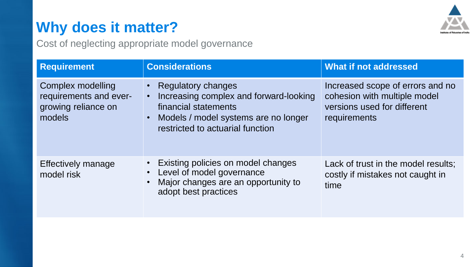### **Why does it matter?**

Cost of neglecting appropriate model governance

| <b>Requirement</b>                                                           | <b>Considerations</b>                                                                                                                                                                                          | What if not addressed                                                                                           |  |  |  |
|------------------------------------------------------------------------------|----------------------------------------------------------------------------------------------------------------------------------------------------------------------------------------------------------------|-----------------------------------------------------------------------------------------------------------------|--|--|--|
| Complex modelling<br>requirements and ever-<br>growing reliance on<br>models | <b>Regulatory changes</b><br>$\bullet$<br>Increasing complex and forward-looking<br>$\bullet$<br>financial statements<br>Models / model systems are no longer<br>$\bullet$<br>restricted to actuarial function | Increased scope of errors and no<br>cohesion with multiple model<br>versions used for different<br>requirements |  |  |  |
| Effectively manage<br>model risk                                             | Existing policies on model changes<br>$\bullet$<br>Level of model governance<br>$\bullet$<br>Major changes are an opportunity to<br>$\bullet$<br>adopt best practices                                          | Lack of trust in the model results;<br>costly if mistakes not caught in<br>time                                 |  |  |  |

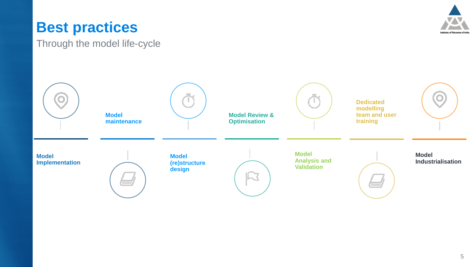#### **Best practices**

Through the model life-cycle



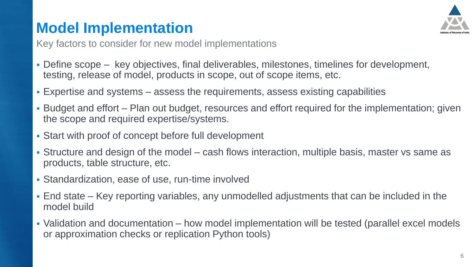### **Model Implementation**



Key factors to consider for new model implementations

- Define scope key objectives, final deliverables, milestones, timelines for development, testing, release of model, products in scope, out of scope items, etc.
- Expertise and systems assess the requirements, assess existing capabilities
- Budget and effort Plan out budget, resources and effort required for the implementation; given the scope and required expertise/systems.
- **EXECT:** Start with proof of concept before full development
- Structure and design of the model cash flows interaction, multiple basis, master vs same as products, table structure, etc.
- **Standardization, ease of use, run-time involved**
- End state Key reporting variables, any unmodelled adjustments that can be included in the model build
- Validation and documentation how model implementation will be tested (parallel excel models or approximation checks or replication Python tools)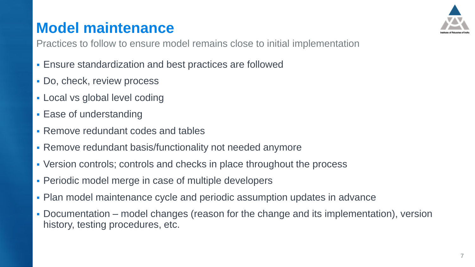#### **Model maintenance**



Practices to follow to ensure model remains close to initial implementation

- **Ensure standardization and best practices are followed**
- **Do, check, review process**
- **Local vs global level coding**
- **Ease of understanding**
- Remove redundant codes and tables
- **Remove redundant basis/functionality not needed anymore**
- Version controls; controls and checks in place throughout the process
- **Periodic model merge in case of multiple developers**
- Plan model maintenance cycle and periodic assumption updates in advance
- Documentation model changes (reason for the change and its implementation), version history, testing procedures, etc.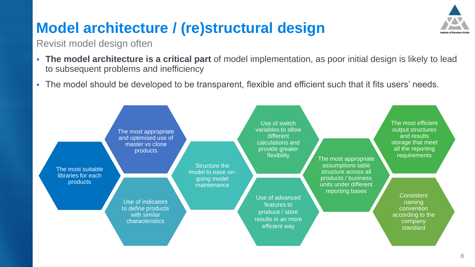### **Model architecture / (re)structural design**

#### Revisit model design often

- **The model architecture is a critical part** of model implementation, as poor initial design is likely to lead to subsequent problems and inefficiency
- The model should be developed to be transparent, flexible and efficient such that it fits users' needs.

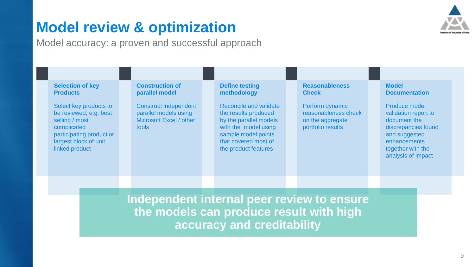#### **Model review & optimization**



Model accuracy: a proven and successful approach

|                                                                                                                     | <b>Selection of key</b><br><b>Products</b>                                                                                                               |  |  | <b>Construction of</b><br>parallel model                                                  |  | <b>Define testing</b><br>methodology                                                                                                                                    |  | <b>Reasonableness</b><br><b>Check</b>                                            |  | <b>Model</b><br><b>Documentation</b>                                                                                                                     |
|---------------------------------------------------------------------------------------------------------------------|----------------------------------------------------------------------------------------------------------------------------------------------------------|--|--|-------------------------------------------------------------------------------------------|--|-------------------------------------------------------------------------------------------------------------------------------------------------------------------------|--|----------------------------------------------------------------------------------|--|----------------------------------------------------------------------------------------------------------------------------------------------------------|
|                                                                                                                     | Select key products to<br>be reviewed, e.g. best<br>selling / most<br>complicated<br>participating product or<br>largest block of unit<br>linked product |  |  | <b>Construct independent</b><br>parallel models using<br>Microsoft Excel / other<br>tools |  | Reconcile and validate<br>the results produced<br>by the parallel models<br>with the model using<br>sample model points<br>that covered most of<br>the product features |  | Perform dynamic<br>reasonableness check<br>on the aggregate<br>portfolio results |  | Produce model<br>validation report to<br>document the<br>discrepancies found<br>and suggested<br>enhancements<br>together with the<br>analysis of impact |
|                                                                                                                     |                                                                                                                                                          |  |  |                                                                                           |  |                                                                                                                                                                         |  |                                                                                  |  |                                                                                                                                                          |
| Independent internal peer review to ensure<br>the models can produce result with high<br>accuracy and creditability |                                                                                                                                                          |  |  |                                                                                           |  |                                                                                                                                                                         |  |                                                                                  |  |                                                                                                                                                          |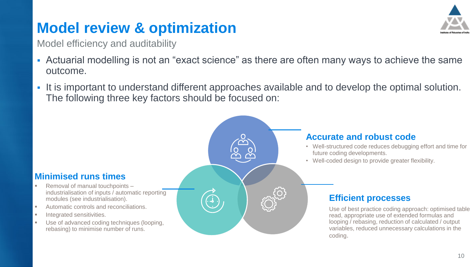### **Model review & optimization**

Model efficiency and auditability

- **Actuarial modelling is not an "exact science" as there are often many ways to achieve the same** outcome.
- It is important to understand different approaches available and to develop the optimal solution. The following three key factors should be focused on:

#### **Minimised runs times**

- Removal of manual touchpoints industrialisation of inputs / automatic reporting modules (see industrialisation).
- Automatic controls and reconciliations.
- Integrated sensitivities.
- Use of advanced coding techniques (looping, rebasing) to minimise number of runs.



- Well-structured code reduces debugging effort and time for future coding developments.
- Well-coded design to provide greater flexibility.

#### **Efficient processes**

Use of best practice coding approach: optimised table read, appropriate use of extended formulas and looping / rebasing, reduction of calculated / output variables, reduced unnecessary calculations in the coding.

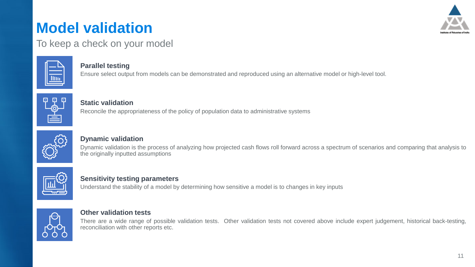### **Model validation**



To keep a check on your model



#### **Parallel testing**

Ensure select output from models can be demonstrated and reproduced using an alternative model or high-level tool.



#### **Static validation**

Reconcile the appropriateness of the policy of population data to administrative systems



#### **Dynamic validation**

Dynamic validation is the process of analyzing how projected cash flows roll forward across a spectrum of scenarios and comparing that analysis to the originally inputted assumptions



#### **Sensitivity testing parameters**

Understand the stability of a model by determining how sensitive a model is to changes in key inputs



#### **Other validation tests**

There are a wide range of possible validation tests. Other validation tests not covered above include expert judgement, historical back-testing, reconciliation with other reports etc.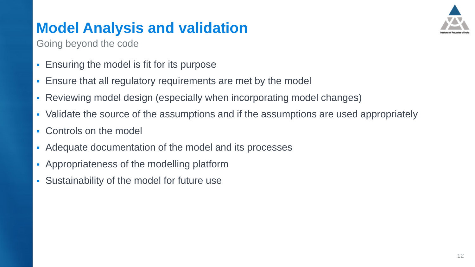### **Model Analysis and validation**



Going beyond the code

- **Ensuring the model is fit for its purpose**
- **Ensure that all regulatory requirements are met by the model**
- Reviewing model design (especially when incorporating model changes)
- Validate the source of the assumptions and if the assumptions are used appropriately
- Controls on the model
- Adequate documentation of the model and its processes
- **Appropriateness of the modelling platform**
- **EXEC** Sustainability of the model for future use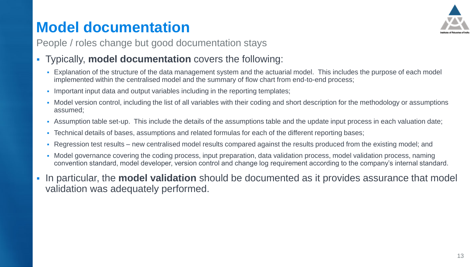### **Model documentation**



People / roles change but good documentation stays

- Typically, **model documentation** covers the following:
	- Explanation of the structure of the data management system and the actuarial model. This includes the purpose of each model implemented within the centralised model and the summary of flow chart from end-to-end process;
	- **Important input data and output variables including in the reporting templates;**
	- Model version control, including the list of all variables with their coding and short description for the methodology or assumptions assumed;
	- Assumption table set-up. This include the details of the assumptions table and the update input process in each valuation date;
	- Technical details of bases, assumptions and related formulas for each of the different reporting bases;
	- Regression test results new centralised model results compared against the results produced from the existing model; and
	- Model governance covering the coding process, input preparation, data validation process, model validation process, naming convention standard, model developer, version control and change log requirement according to the company's internal standard.
- In particular, the **model validation** should be documented as it provides assurance that model validation was adequately performed.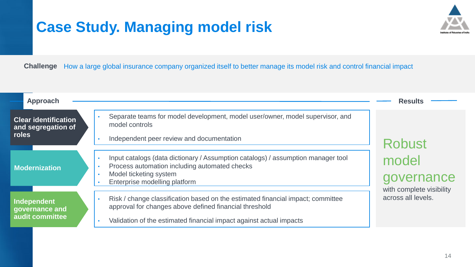### **Case Study. Managing model risk**



How a large global insurance company organized itself to better manage its model risk and control financial impact **Challenge**